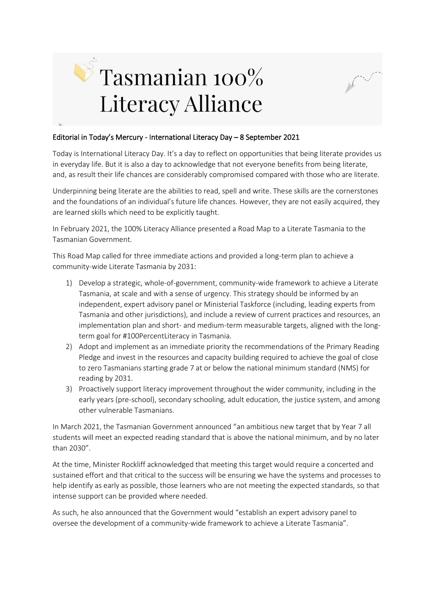



Today is International Literacy Day. It's a day to reflect on opportunities that being literate provides us in everyday life. But it is also a day to acknowledge that not everyone benefits from being literate, and, as result their life chances are considerably compromised compared with those who are literate.

Underpinning being literate are the abilities to read, spell and write. These skills are the cornerstones and the foundations of an individual's future life chances. However, they are not easily acquired, they are learned skills which need to be explicitly taught.

In February 2021, the 100% Literacy Alliance presented a Road Map to a Literate Tasmania to the Tasmanian Government.

This Road Map called for three immediate actions and provided a long-term plan to achieve a community-wide Literate Tasmania by 2031:

- 1) Develop a strategic, whole-of-government, community-wide framework to achieve a Literate Tasmania, at scale and with a sense of urgency. This strategy should be informed by an independent, expert advisory panel or Ministerial Taskforce (including, leading experts from Tasmania and other jurisdictions), and include a review of current practices and resources, an implementation plan and short- and medium-term measurable targets, aligned with the longterm goal for #100PercentLiteracy in Tasmania.
- 2) Adopt and implement as an immediate priority the recommendations of the Primary Reading Pledge and invest in the resources and capacity building required to achieve the goal of close to zero Tasmanians starting grade 7 at or below the national minimum standard (NMS) for reading by 2031.
- 3) Proactively support literacy improvement throughout the wider community, including in the early years (pre-school), secondary schooling, adult education, the justice system, and among other vulnerable Tasmanians.

In March 2021, the Tasmanian Government announced "an ambitious new target that by Year 7 all students will meet an expected reading standard that is above the national minimum, and by no later than 2030".

At the time, Minister Rockliff acknowledged that meeting this target would require a concerted and sustained effort and that critical to the success will be ensuring we have the systems and processes to help identify as early as possible, those learners who are not meeting the expected standards, so that intense support can be provided where needed.

As such, he also announced that the Government would "establish an expert advisory panel to oversee the development of a community-wide framework to achieve a Literate Tasmania".